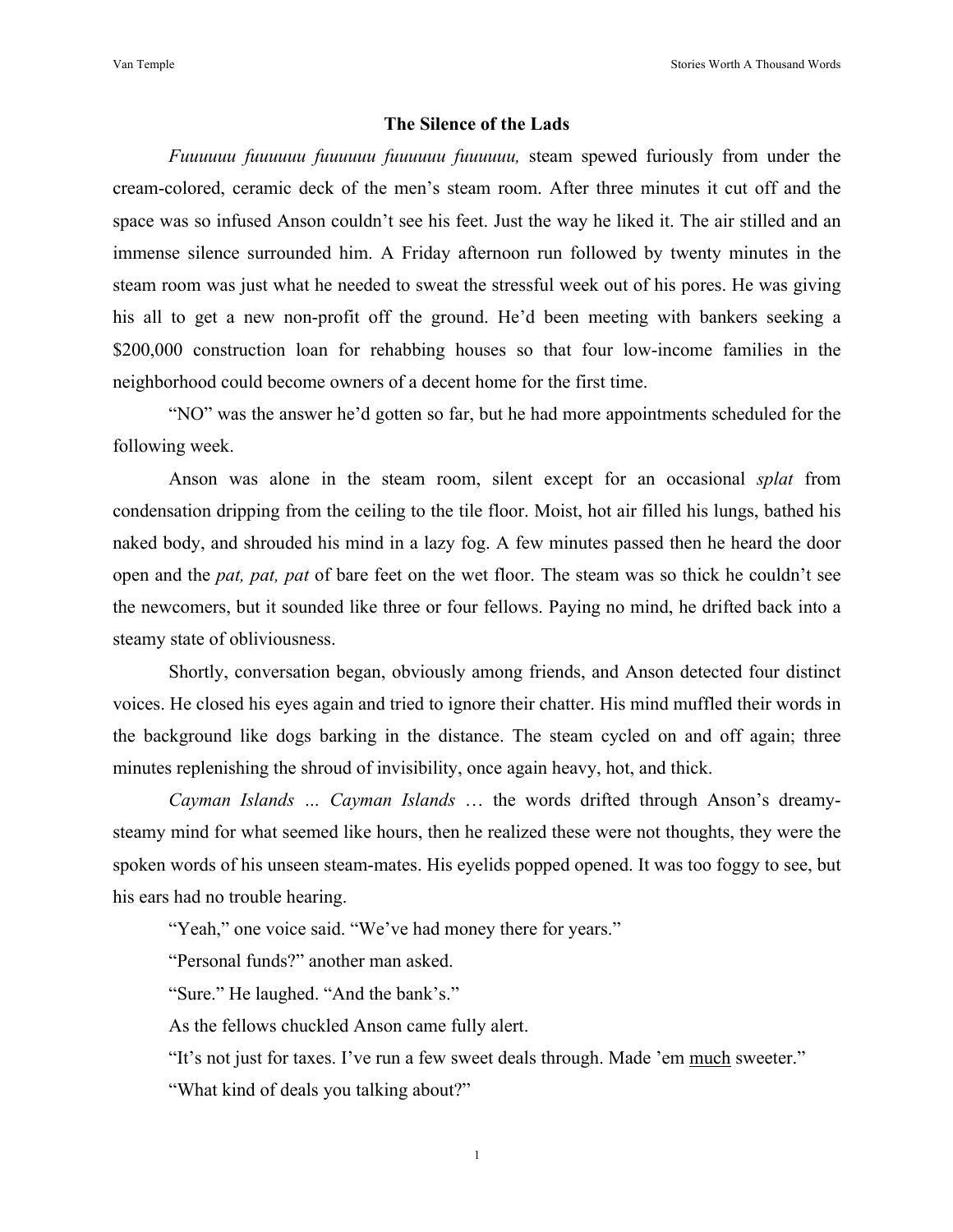## **The Silence of the Lads**

*Fuuuuuu fuuuuuu fuuuuuu fuuuuuu fuuuuuu,* steam spewed furiously from under the cream-colored, ceramic deck of the men's steam room. After three minutes it cut off and the space was so infused Anson couldn't see his feet. Just the way he liked it. The air stilled and an immense silence surrounded him. A Friday afternoon run followed by twenty minutes in the steam room was just what he needed to sweat the stressful week out of his pores. He was giving his all to get a new non-profit off the ground. He'd been meeting with bankers seeking a \$200,000 construction loan for rehabbing houses so that four low-income families in the neighborhood could become owners of a decent home for the first time.

"NO" was the answer he'd gotten so far, but he had more appointments scheduled for the following week.

Anson was alone in the steam room, silent except for an occasional *splat* from condensation dripping from the ceiling to the tile floor. Moist, hot air filled his lungs, bathed his naked body, and shrouded his mind in a lazy fog. A few minutes passed then he heard the door open and the *pat, pat, pat* of bare feet on the wet floor. The steam was so thick he couldn't see the newcomers, but it sounded like three or four fellows. Paying no mind, he drifted back into a steamy state of obliviousness.

Shortly, conversation began, obviously among friends, and Anson detected four distinct voices. He closed his eyes again and tried to ignore their chatter. His mind muffled their words in the background like dogs barking in the distance. The steam cycled on and off again; three minutes replenishing the shroud of invisibility, once again heavy, hot, and thick.

*Cayman Islands … Cayman Islands* … the words drifted through Anson's dreamysteamy mind for what seemed like hours, then he realized these were not thoughts, they were the spoken words of his unseen steam-mates. His eyelids popped opened. It was too foggy to see, but his ears had no trouble hearing.

"Yeah," one voice said. "We've had money there for years."

"Personal funds?" another man asked.

"Sure." He laughed. "And the bank's."

As the fellows chuckled Anson came fully alert.

"It's not just for taxes. I've run a few sweet deals through. Made 'em much sweeter."

"What kind of deals you talking about?"

1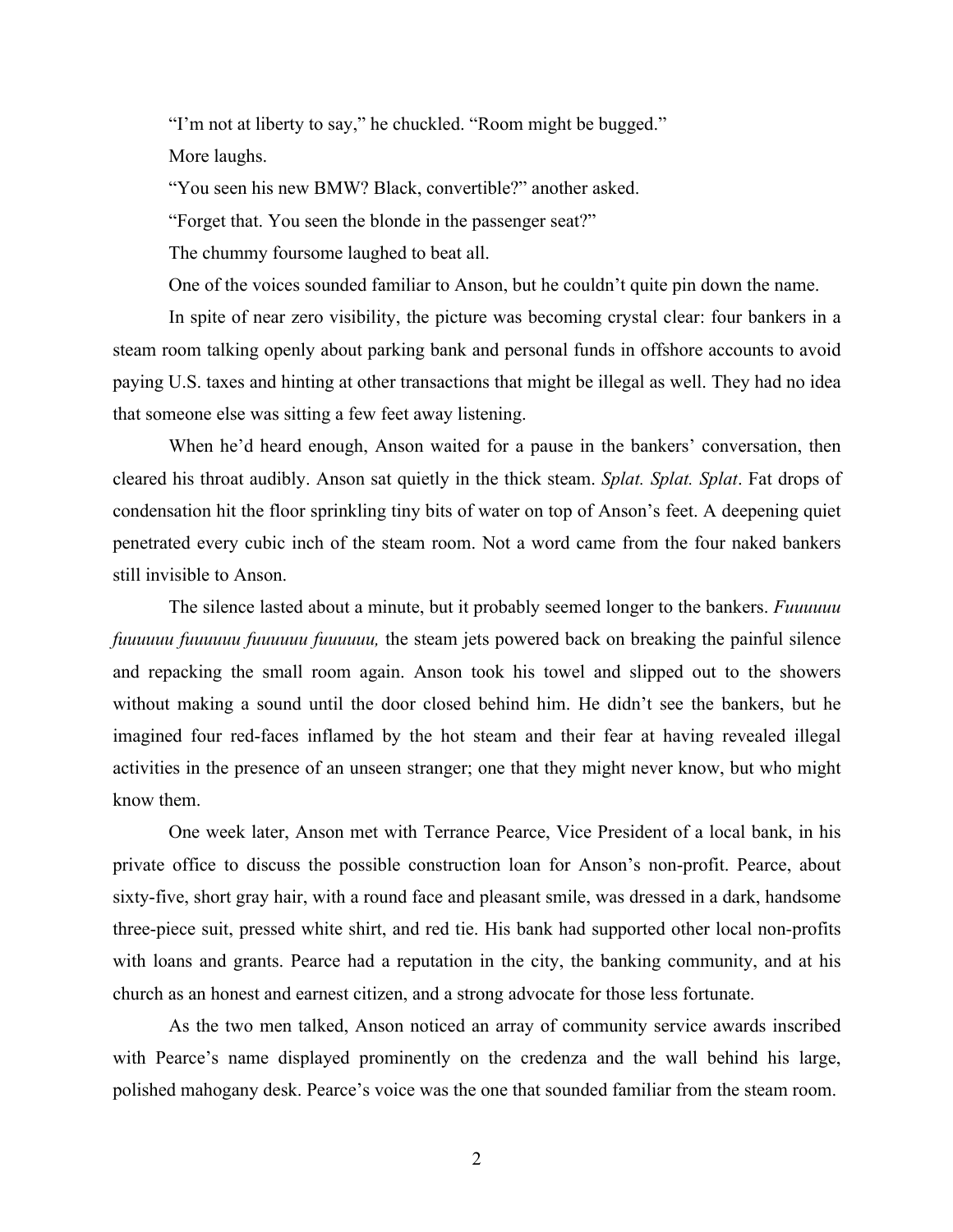"I'm not at liberty to say," he chuckled. "Room might be bugged."

More laughs.

"You seen his new BMW? Black, convertible?" another asked.

"Forget that. You seen the blonde in the passenger seat?"

The chummy foursome laughed to beat all.

One of the voices sounded familiar to Anson, but he couldn't quite pin down the name.

In spite of near zero visibility, the picture was becoming crystal clear: four bankers in a steam room talking openly about parking bank and personal funds in offshore accounts to avoid paying U.S. taxes and hinting at other transactions that might be illegal as well. They had no idea that someone else was sitting a few feet away listening.

When he'd heard enough, Anson waited for a pause in the bankers' conversation, then cleared his throat audibly. Anson sat quietly in the thick steam. *Splat. Splat. Splat*. Fat drops of condensation hit the floor sprinkling tiny bits of water on top of Anson's feet. A deepening quiet penetrated every cubic inch of the steam room. Not a word came from the four naked bankers still invisible to Anson.

The silence lasted about a minute, but it probably seemed longer to the bankers. *Fuuuuuu fuuuuuu fuuuuuu fuuuuuu fuuuuuu,* the steam jets powered back on breaking the painful silence and repacking the small room again. Anson took his towel and slipped out to the showers without making a sound until the door closed behind him. He didn't see the bankers, but he imagined four red-faces inflamed by the hot steam and their fear at having revealed illegal activities in the presence of an unseen stranger; one that they might never know, but who might know them.

One week later, Anson met with Terrance Pearce, Vice President of a local bank, in his private office to discuss the possible construction loan for Anson's non-profit. Pearce, about sixty-five, short gray hair, with a round face and pleasant smile, was dressed in a dark, handsome three-piece suit, pressed white shirt, and red tie. His bank had supported other local non-profits with loans and grants. Pearce had a reputation in the city, the banking community, and at his church as an honest and earnest citizen, and a strong advocate for those less fortunate.

As the two men talked, Anson noticed an array of community service awards inscribed with Pearce's name displayed prominently on the credenza and the wall behind his large, polished mahogany desk. Pearce's voice was the one that sounded familiar from the steam room.